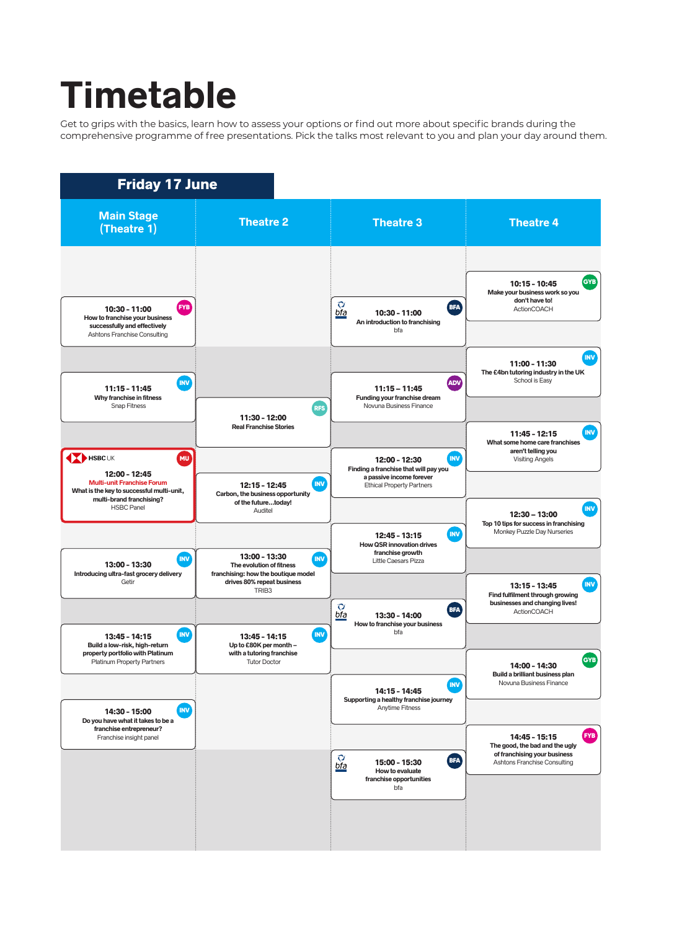## **Timetable**

Get to grips with the basics, learn how to assess your options or find out more about specific brands during the comprehensive programme of free presentations. Pick the talks most relevant to you and plan your day around them.